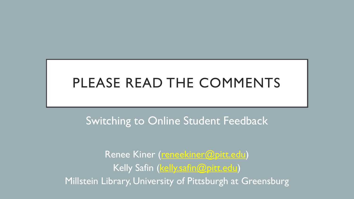# PLEASE READ THE COMMENTS

# Switching to Online Student Feedback

Renee Kiner [\(reneekiner@pitt.edu\)](mailto:reneekiner@pitt.edu) Kelly Safin [\(kelly.safin@pitt.edu](mailto:kelly.safin@pitt.edu)) Millstein Library, University of Pittsburgh at Greensburg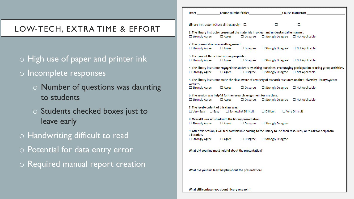### LOW-TECH, EXTRA TIME & EFFORT

- o High use of paper and printer ink
- o Incomplete responses
	- o Number of questions was daunting to students
	- o Students checked boxes just to leave early
- o Handwriting difficult to read
- o Potential for data entry error
- o Required manual report creation

| Date: the contract of the contract of the contract of the contract of the contract of the contract of the contract of the contract of the contract of the contract of the contract of the contract of the contract of the cont |              |                 | Course Instructor: __                          |                       |  |
|--------------------------------------------------------------------------------------------------------------------------------------------------------------------------------------------------------------------------------|--------------|-----------------|------------------------------------------------|-----------------------|--|
|                                                                                                                                                                                                                                |              |                 |                                                |                       |  |
| <b>Library Instructor:</b> (Check all that apply) $\Box$                                                                                                                                                                       |              |                 | D                                              | □.                    |  |
| 1. The library instructor presented the materials in a clear and understandable manner.                                                                                                                                        |              |                 |                                                |                       |  |
| $\Box$ Strongly Agree                                                                                                                                                                                                          | $\Box$ Agree | $\Box$ Disagree | $\Box$ Strongly Disagree                       | $\Box$ Not Applicable |  |
| 2. The presentation was well organized.                                                                                                                                                                                        |              |                 |                                                |                       |  |
| $\Box$ Strongly Agree                                                                                                                                                                                                          | $\Box$ Agree | $\Box$ Disagree | $\Box$ Strongly Disagree                       | $\Box$ Not Applicable |  |
| 3. The pace of the session was appropriate.                                                                                                                                                                                    |              |                 |                                                |                       |  |
| $\Box$ Strongly Agree                                                                                                                                                                                                          | $\Box$ Agree | $\Box$ Disagree | $\Box$ Strongly Disagree                       | $\Box$ Not Applicable |  |
| 4. The library instructor engaged the students by asking questions, encouraging participation or using group activities.                                                                                                       |              |                 |                                                |                       |  |
| $\Box$ Strongly Agree                                                                                                                                                                                                          | $\Box$ Agree | $\Box$ Disagree | $\Box$ Strongly Disagree $\Box$ Not Applicable |                       |  |
| 5. The library instructor made the class aware of a variety of research resources on the University Library System                                                                                                             |              |                 |                                                |                       |  |
| website.                                                                                                                                                                                                                       |              |                 |                                                |                       |  |
| $\Box$ Strongly Agree                                                                                                                                                                                                          | $\Box$ Agree | $\Box$ Disagree | $\Box$ Strongly Disagree                       | $\Box$ Not Applicable |  |
| 6. The session was helpful for the research assignment for my class.                                                                                                                                                           |              |                 |                                                |                       |  |
| $\Box$ Strongly Agree                                                                                                                                                                                                          | $\Box$ Agree | $\Box$ Disagree | $\Box$ Strongly Disagree                       | $\Box$ Not Applicable |  |
| 7. The level/content of this class was:                                                                                                                                                                                        |              |                 |                                                |                       |  |
| $\Box$ Somewhat Difficult<br>$\Box$ Difficult<br>$\Box$ Very Easy $\Box$ Easy                                                                                                                                                  |              |                 |                                                | $\Box$ Very Difficult |  |
| 8. Overall I was satisfied with the library presentation.                                                                                                                                                                      |              |                 |                                                |                       |  |
| $\Box$ Strongly Agree                                                                                                                                                                                                          | $\Box$ Agree | $\Box$ Disagree | $\Box$ Strongly Disagree                       |                       |  |
| 9. After this session, I will feel comfortable coming to the library to use their resources, or to ask for help from                                                                                                           |              |                 |                                                |                       |  |
| a librarian.<br>$\Box$ Strongly Agree                                                                                                                                                                                          | $\Box$ Agree | $\Box$ Disagree | $\Box$ Strongly Disagree                       |                       |  |
|                                                                                                                                                                                                                                |              |                 |                                                |                       |  |
| What did you find most helpful about the presentation?                                                                                                                                                                         |              |                 |                                                |                       |  |
|                                                                                                                                                                                                                                |              |                 |                                                |                       |  |
|                                                                                                                                                                                                                                |              |                 |                                                |                       |  |
|                                                                                                                                                                                                                                |              |                 |                                                |                       |  |
| What did you find least helpful about the presentation?                                                                                                                                                                        |              |                 |                                                |                       |  |
|                                                                                                                                                                                                                                |              |                 |                                                |                       |  |

What still confuses you about library research?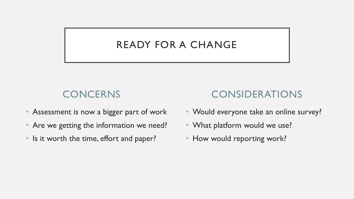## READY FOR A CHANGE

# **CONCERNS**

- Assessment is now a bigger part of work
- Are we getting the information we need?
- Is it worth the time, effort and paper?

# CONSIDERATIONS

- Would everyone take an online survey?
- What platform would we use?
- How would reporting work?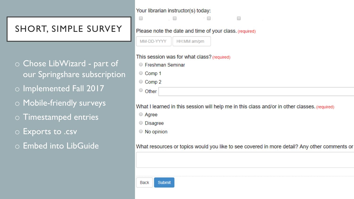### SHORT, SIMPLE SURVEY

O Chose LibWizard - part of our Springshare subscription o Implemented Fall 2017 O Mobile-friendly surveys o Timestamped entries  $\circ$  Exports to .csv o Embed into LibGuide

#### $\overline{\phantom{a}}$  .  $\overline{\phantom{a}}$ and a state of the □

### Please note the date and time of your class. (required)

| MM-DD-YYYY | <b>HH:MM am/pm</b> |
|------------|--------------------|
|------------|--------------------|

Your librarian instructor(s) today:

#### This session was for what class? (required)

- Freshman Seminar
- Comp 1
- $\circ$  Comp 2
- $\circ$  Other

#### What I learned in this session will help me in this class and/or in other classes. (required)

□

- Agree
- O Disagree
- $\circ$  No opinion

#### What resources or topics would you like to see covered in more detail? Any other comments or

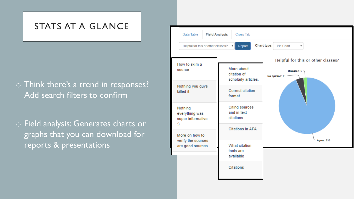### STATS AT A GLANCE

### o Think there's a trend in responses? Add search filters to confirm

o Field analysis: Generates charts or graphs that you can download for reports & presentations